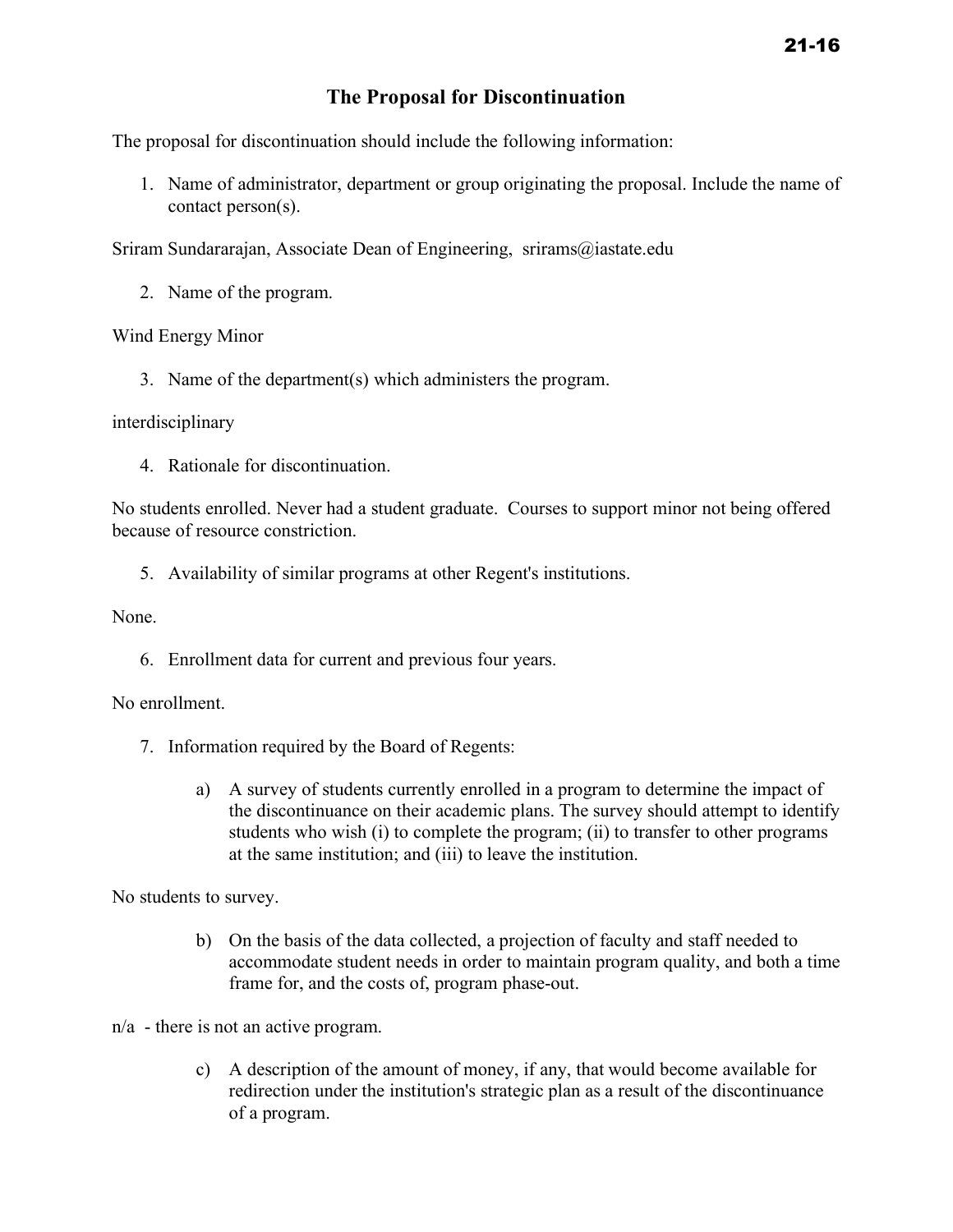## **The Proposal for Discontinuation**

The proposal for discontinuation should include the following information:

1. Name of administrator, department or group originating the proposal. Include the name of contact person(s).

Sriram Sundararajan, Associate Dean of Engineering, srirams@iastate.edu

2. Name of the program.

Wind Energy Minor

3. Name of the department(s) which administers the program.

## interdisciplinary

4. Rationale for discontinuation.

No students enrolled. Never had a student graduate. Courses to support minor not being offered because of resource constriction.

5. Availability of similar programs at other Regent's institutions.

None.

6. Enrollment data for current and previous four years.

No enrollment.

- 7. Information required by the Board of Regents:
	- a) A survey of students currently enrolled in a program to determine the impact of the discontinuance on their academic plans. The survey should attempt to identify students who wish (i) to complete the program; (ii) to transfer to other programs at the same institution; and (iii) to leave the institution.

No students to survey.

b) On the basis of the data collected, a projection of faculty and staff needed to accommodate student needs in order to maintain program quality, and both a time frame for, and the costs of, program phase-out.

n/a - there is not an active program.

c) A description of the amount of money, if any, that would become available for redirection under the institution's strategic plan as a result of the discontinuance of a program.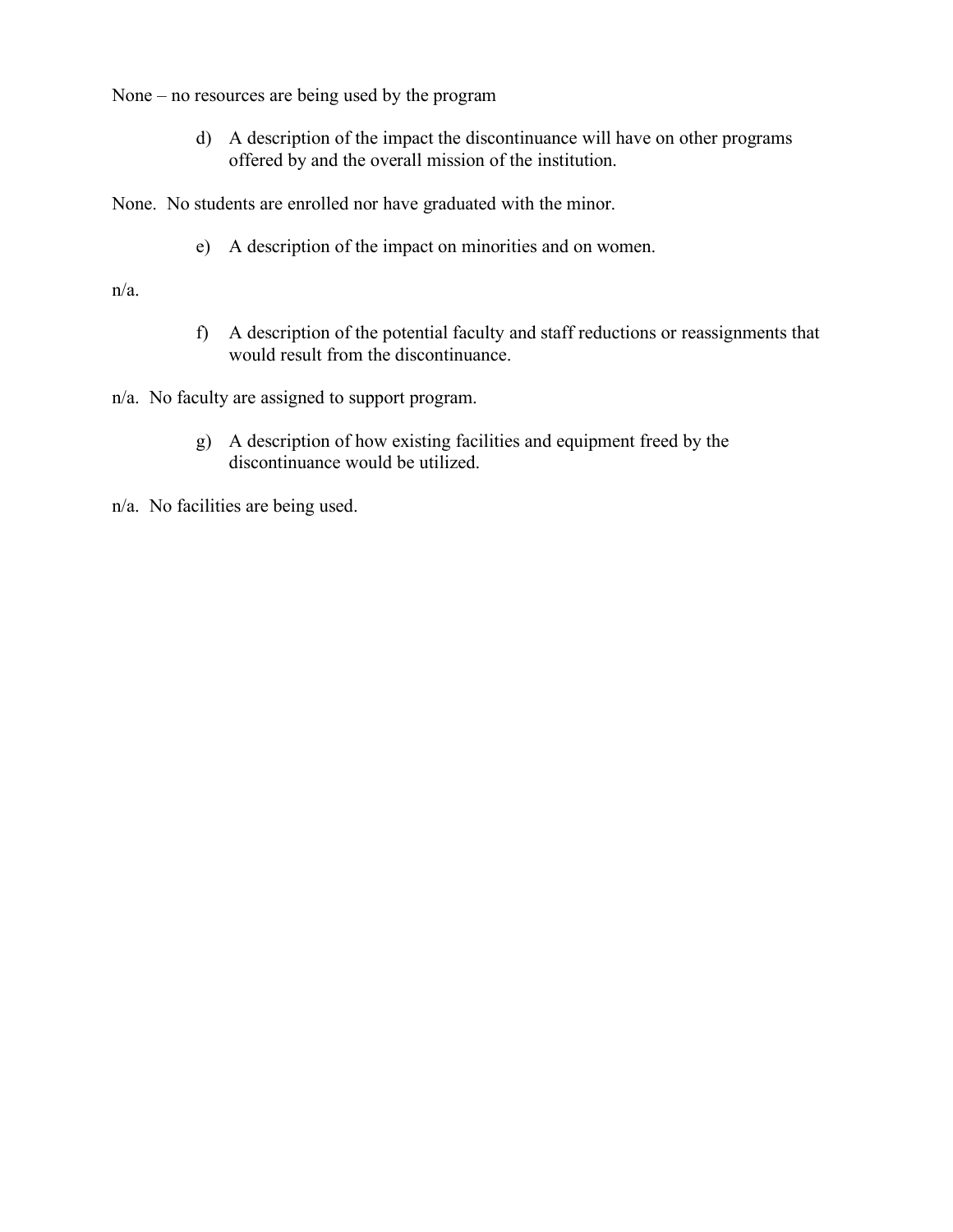None – no resources are being used by the program

d) A description of the impact the discontinuance will have on other programs offered by and the overall mission of the institution.

None. No students are enrolled nor have graduated with the minor.

e) A description of the impact on minorities and on women.

n/a.

f) A description of the potential faculty and staff reductions or reassignments that would result from the discontinuance.

n/a. No faculty are assigned to support program.

g) A description of how existing facilities and equipment freed by the discontinuance would be utilized.

n/a. No facilities are being used.